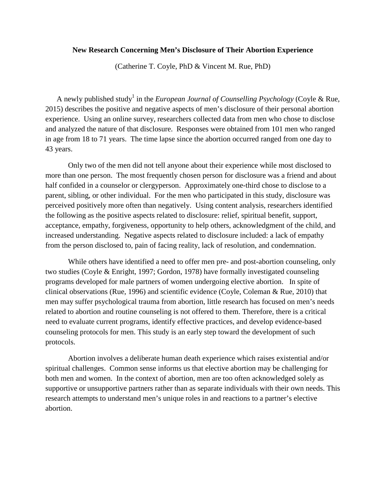## **New Research Concerning Men's Disclosure of Their Abortion Experience**

(Catherine T. Coyle, PhD & Vincent M. Rue, PhD)

A newly published study<sup>1</sup> in the *European Journal of Counselling Psychology* (Coyle & Rue, 2015) describes the positive and negative aspects of men's disclosure of their personal abortion experience. Using an online survey, researchers collected data from men who chose to disclose and analyzed the nature of that disclosure. Responses were obtained from 101 men who ranged in age from 18 to 71 years. The time lapse since the abortion occurred ranged from one day to 43 years.

Only two of the men did not tell anyone about their experience while most disclosed to more than one person. The most frequently chosen person for disclosure was a friend and about half confided in a counselor or clergyperson. Approximately one-third chose to disclose to a parent, sibling, or other individual. For the men who participated in this study, disclosure was perceived positively more often than negatively. Using content analysis, researchers identified the following as the positive aspects related to disclosure: relief, spiritual benefit, support, acceptance, empathy, forgiveness, opportunity to help others, acknowledgment of the child, and increased understanding. Negative aspects related to disclosure included: a lack of empathy from the person disclosed to, pain of facing reality, lack of resolution, and condemnation.

While others have identified a need to offer men pre- and post-abortion counseling, only two studies (Coyle & Enright, 1997; Gordon, 1978) have formally investigated counseling programs developed for male partners of women undergoing elective abortion. In spite of clinical observations (Rue, 1996) and scientific evidence (Coyle, Coleman & Rue, 2010) that men may suffer psychological trauma from abortion, little research has focused on men's needs related to abortion and routine counseling is not offered to them. Therefore, there is a critical need to evaluate current programs, identify effective practices, and develop evidence-based counseling protocols for men. This study is an early step toward the development of such protocols.

Abortion involves a deliberate human death experience which raises existential and/or spiritual challenges. Common sense informs us that elective abortion may be challenging for both men and women. In the context of abortion, men are too often acknowledged solely as supportive or unsupportive partners rather than as separate individuals with their own needs. This research attempts to understand men's unique roles in and reactions to a partner's elective abortion.